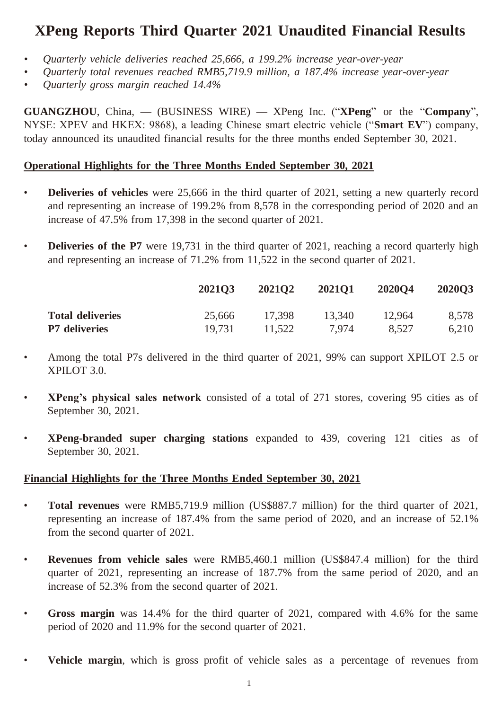# **XPeng Reports Third Quarter 2021 Unaudited Financial Results**

- *• Quarterly vehicle deliveries reached 25,666, a 199.2% increase year-over-year*
- *• Quarterly total revenues reached RMB5,719.9 million, a 187.4% increase year-over-year*
- *• Quarterly gross margin reached 14.4%*

**GUANGZHOU**, China, — (BUSINESS WIRE) — XPeng Inc. ("**XPeng**" or the "**Company**", NYSE: XPEV and HKEX: 9868), a leading Chinese smart electric vehicle ("**Smart EV**") company, today announced its unaudited financial results for the three months ended September 30, 2021.

## **Operational Highlights for the Three Months Ended September 30, 2021**

- **Deliveries of vehicles** were 25,666 in the third quarter of 2021, setting a new quarterly record and representing an increase of 199.2% from 8,578 in the corresponding period of 2020 and an increase of 47.5% from 17,398 in the second quarter of 2021.
- **Deliveries of the P7** were 19,731 in the third quarter of 2021, reaching a record quarterly high and representing an increase of 71.2% from 11,522 in the second quarter of 2021.

|                         | 202103 | 202102 | <b>202101</b> | 202004 | 202003 |
|-------------------------|--------|--------|---------------|--------|--------|
| <b>Total deliveries</b> | 25,666 | 17,398 | 13,340        | 12,964 | 8.578  |
| <b>P7</b> deliveries    | 19.731 | 11.522 | 7.974         | 8.527  | 6,210  |

- Among the total P7s delivered in the third quarter of 2021, 99% can support XPILOT 2.5 or XPILOT 3.0.
- **XPeng's physical sales network** consisted of a total of 271 stores, covering 95 cities as of September 30, 2021.
- **XPeng-branded super charging stations** expanded to 439, covering 121 cities as of September 30, 2021.

## **Financial Highlights for the Three Months Ended September 30, 2021**

- **Total revenues** were RMB5,719.9 million (US\$887.7 million) for the third quarter of 2021, representing an increase of 187.4% from the same period of 2020, and an increase of 52.1% from the second quarter of 2021.
- **Revenues from vehicle sales** were RMB5,460.1 million (US\$847.4 million) for the third quarter of 2021, representing an increase of 187.7% from the same period of 2020, and an increase of 52.3% from the second quarter of 2021.
- **Gross margin** was 14.4% for the third quarter of 2021, compared with 4.6% for the same period of 2020 and 11.9% for the second quarter of 2021.
- **Vehicle margin**, which is gross profit of vehicle sales as a percentage of revenues from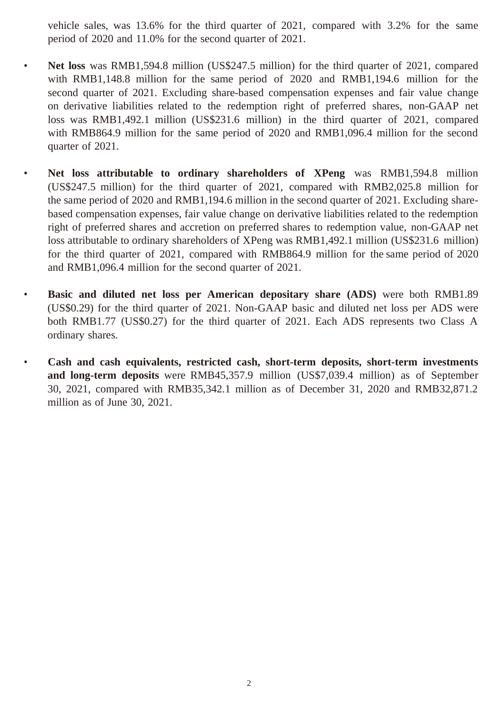vehicle sales, was 13.6% for the third quarter of 2021, compared with 3.2% for the same period of 2020 and 11.0% for the second quarter of 2021.

- **Net loss** was RMB1,594.8 million (US\$247.5 million) for the third quarter of 2021, compared with RMB1,148.8 million for the same period of 2020 and RMB1,194.6 million for the second quarter of 2021. Excluding share-based compensation expenses and fair value change on derivative liabilities related to the redemption right of preferred shares, non-GAAP net loss was RMB1,492.1 million (US\$231.6 million) in the third quarter of 2021, compared with RMB864.9 million for the same period of 2020 and RMB1,096.4 million for the second quarter of 2021.
	- **Net loss attributable to ordinary shareholders of XPeng** was RMB1,594.8 million (US\$247.5 million) for the third quarter of 2021, compared with RMB2,025.8 million for the same period of 2020 and RMB1,194.6 million in the second quarter of 2021. Excluding sharebased compensation expenses, fair value change on derivative liabilities related to the redemption right of preferred shares and accretion on preferred shares to redemption value, non-GAAP net loss attributable to ordinary shareholders of XPeng was RMB1,492.1 million (US\$231.6 million) for the third quarter of 2021, compared with RMB864.9 million for the same period of 2020 and RMB1,096.4 million for the second quarter of 2021.
- **Basic and diluted net loss per American depositary share (ADS)** were both RMB1.89 (US\$0.29) for the third quarter of 2021. Non-GAAP basic and diluted net loss per ADS were both RMB1.77 (US\$0.27) for the third quarter of 2021. Each ADS represents two Class A ordinary shares.
- **Cash and cash equivalents, restricted cash, short-term deposits, short-term investments and long-term deposits** were RMB45,357.9 million (US\$7,039.4 million) as of September 30, 2021, compared with RMB35,342.1 million as of December 31, 2020 and RMB32,871.2 million as of June 30, 2021.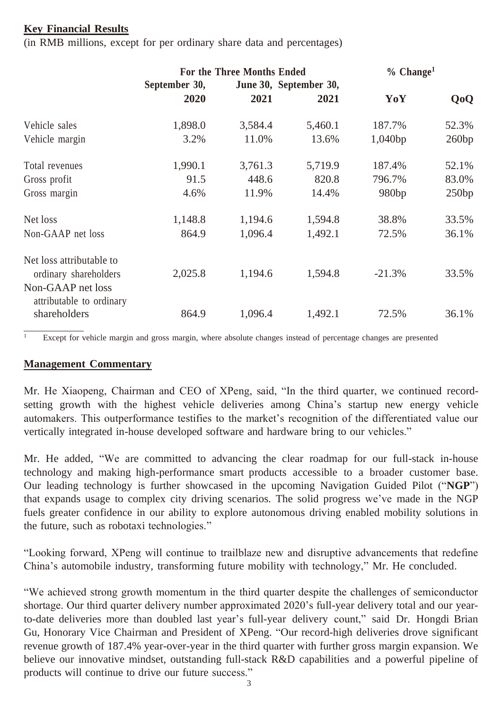# **Key Financial Results**

(in RMB millions, except for per ordinary share data and percentages)

|                                                   | <b>For the Three Months Ended</b> |         |                        | $\%$ Change <sup>1</sup> |       |
|---------------------------------------------------|-----------------------------------|---------|------------------------|--------------------------|-------|
|                                                   | September 30,                     |         | June 30, September 30, |                          |       |
|                                                   | 2020                              | 2021    | 2021                   | YoY                      | QoQ   |
| Vehicle sales                                     | 1,898.0                           | 3,584.4 | 5,460.1                | 187.7%                   | 52.3% |
| Vehicle margin                                    | 3.2%                              | 11.0%   | 13.6%                  | 1,040bp                  | 260bp |
| Total revenues                                    | 1,990.1                           | 3,761.3 | 5,719.9                | 187.4%                   | 52.1% |
| Gross profit                                      | 91.5                              | 448.6   | 820.8                  | 796.7%                   | 83.0% |
| Gross margin                                      | 4.6%                              | 11.9%   | 14.4%                  | 980 <sub>bp</sub>        | 250bp |
| Net loss                                          | 1,148.8                           | 1,194.6 | 1,594.8                | 38.8%                    | 33.5% |
| Non-GAAP net loss                                 | 864.9                             | 1,096.4 | 1,492.1                | 72.5%                    | 36.1% |
| Net loss attributable to<br>ordinary shareholders | 2,025.8                           | 1,194.6 | 1,594.8                | $-21.3%$                 | 33.5% |
| Non-GAAP net loss<br>attributable to ordinary     |                                   |         |                        |                          |       |
| shareholders                                      | 864.9                             | 1,096.4 | 1,492.1                | 72.5%                    | 36.1% |

Except for vehicle margin and gross margin, where absolute changes instead of percentage changes are presented

#### **Management Commentary**

Mr. He Xiaopeng, Chairman and CEO of XPeng, said, "In the third quarter, we continued recordsetting growth with the highest vehicle deliveries among China's startup new energy vehicle automakers. This outperformance testifies to the market's recognition of the differentiated value our vertically integrated in-house developed software and hardware bring to our vehicles."

Mr. He added, "We are committed to advancing the clear roadmap for our full-stack in-house technology and making high-performance smart products accessible to a broader customer base. Our leading technology is further showcased in the upcoming Navigation Guided Pilot ("**NGP**") that expands usage to complex city driving scenarios. The solid progress we've made in the NGP fuels greater confidence in our ability to explore autonomous driving enabled mobility solutions in the future, such as robotaxi technologies."

"Looking forward, XPeng will continue to trailblaze new and disruptive advancements that redefine China's automobile industry, transforming future mobility with technology," Mr. He concluded.

"We achieved strong growth momentum in the third quarter despite the challenges of semiconductor shortage. Our third quarter delivery number approximated 2020's full-year delivery total and our yearto-date deliveries more than doubled last year's full-year delivery count," said Dr. Hongdi Brian Gu, Honorary Vice Chairman and President of XPeng. "Our record-high deliveries drove significant revenue growth of 187.4% year-over-year in the third quarter with further gross margin expansion. We believe our innovative mindset, outstanding full-stack R&D capabilities and a powerful pipeline of products will continue to drive our future success."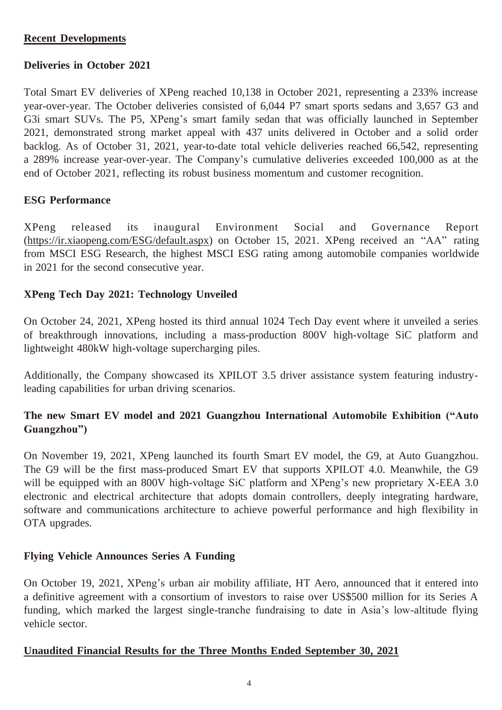# **Recent Developments**

# **Deliveries in October 2021**

Total Smart EV deliveries of XPeng reached 10,138 in October 2021, representing a 233% increase year-over-year. The October deliveries consisted of 6,044 P7 smart sports sedans and 3,657 G3 and G3i smart SUVs. The P5, XPeng's smart family sedan that was officially launched in September 2021, demonstrated strong market appeal with 437 units delivered in October and a solid order backlog. As of October 31, 2021, year-to-date total vehicle deliveries reached 66,542, representing a 289% increase year-over-year. The Company's cumulative deliveries exceeded 100,000 as at the end of October 2021, reflecting its robust business momentum and customer recognition.

## **ESG Performance**

XPeng released its inaugural Environment Social and Governance Report (https://ir.xiaopeng.com/ESG/default.aspx) on October 15, 2021. XPeng received an "AA" rating from MSCI ESG Research, the highest MSCI ESG rating among automobile companies worldwide in 2021 for the second consecutive year.

# **XPeng Tech Day 2021: Technology Unveiled**

On October 24, 2021, XPeng hosted its third annual 1024 Tech Day event where it unveiled a series of breakthrough innovations, including a mass-production 800V high-voltage SiC platform and lightweight 480kW high-voltage supercharging piles.

Additionally, the Company showcased its XPILOT 3.5 driver assistance system featuring industryleading capabilities for urban driving scenarios.

# **The new Smart EV model and 2021 Guangzhou International Automobile Exhibition ("Auto Guangzhou")**

On November 19, 2021, XPeng launched its fourth Smart EV model, the G9, at Auto Guangzhou. The G9 will be the first mass-produced Smart EV that supports XPILOT 4.0. Meanwhile, the G9 will be equipped with an 800V high-voltage SiC platform and XPeng's new proprietary X-EEA 3.0 electronic and electrical architecture that adopts domain controllers, deeply integrating hardware, software and communications architecture to achieve powerful performance and high flexibility in OTA upgrades.

## **Flying Vehicle Announces Series A Funding**

On October 19, 2021, XPeng's urban air mobility affiliate, HT Aero, announced that it entered into a definitive agreement with a consortium of investors to raise over US\$500 million for its Series A funding, which marked the largest single-tranche fundraising to date in Asia's low-altitude flying vehicle sector.

## **Unaudited Financial Results for the Three Months Ended September 30, 2021**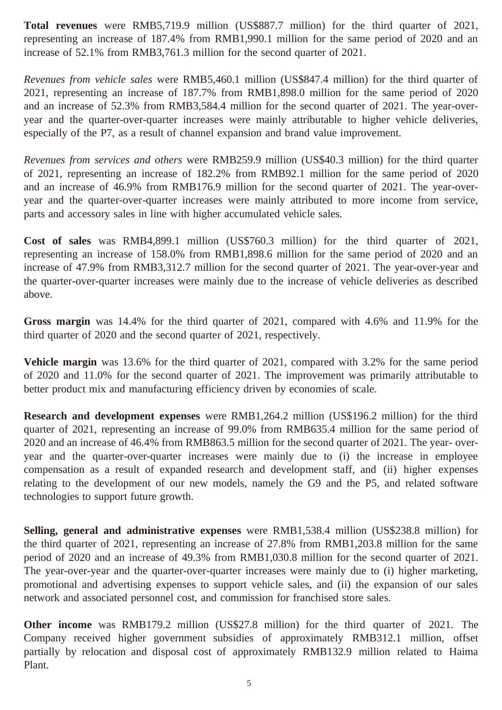**Total revenues** were RMB5,719.9 million (US\$887.7 million) for the third quarter of 2021, representing an increase of 187.4% from RMB1,990.1 million for the same period of 2020 and an increase of 52.1% from RMB3,761.3 million for the second quarter of 2021.

*Revenues from vehicle sales* were RMB5,460.1 million (US\$847.4 million) for the third quarter of 2021, representing an increase of 187.7% from RMB1,898.0 million for the same period of 2020 and an increase of 52.3% from RMB3,584.4 million for the second quarter of 2021. The year-overyear and the quarter-over-quarter increases were mainly attributable to higher vehicle deliveries, especially of the P7, as a result of channel expansion and brand value improvement.

*Revenues from services and others* were RMB259.9 million (US\$40.3 million) for the third quarter of 2021, representing an increase of 182.2% from RMB92.1 million for the same period of 2020 and an increase of 46.9% from RMB176.9 million for the second quarter of 2021. The year-overyear and the quarter-over-quarter increases were mainly attributed to more income from service, parts and accessory sales in line with higher accumulated vehicle sales.

**Cost of sales** was RMB4,899.1 million (US\$760.3 million) for the third quarter of 2021, representing an increase of 158.0% from RMB1,898.6 million for the same period of 2020 and an increase of 47.9% from RMB3,312.7 million for the second quarter of 2021. The year-over-year and the quarter-over-quarter increases were mainly due to the increase of vehicle deliveries as described above.

**Gross margin** was 14.4% for the third quarter of 2021, compared with 4.6% and 11.9% for the third quarter of 2020 and the second quarter of 2021, respectively.

**Vehicle margin** was 13.6% for the third quarter of 2021, compared with 3.2% for the same period of 2020 and 11.0% for the second quarter of 2021. The improvement was primarily attributable to better product mix and manufacturing efficiency driven by economies of scale.

**Research and development expenses** were RMB1,264.2 million (US\$196.2 million) for the third quarter of 2021, representing an increase of 99.0% from RMB635.4 million for the same period of 2020 and an increase of 46.4% from RMB863.5 million for the second quarter of 2021. The year- overyear and the quarter-over-quarter increases were mainly due to (i) the increase in employee compensation as a result of expanded research and development staff, and (ii) higher expenses relating to the development of our new models, namely the G9 and the P5, and related software technologies to support future growth.

**Selling, general and administrative expenses** were RMB1,538.4 million (US\$238.8 million) for the third quarter of 2021, representing an increase of 27.8% from RMB1,203.8 million for the same period of 2020 and an increase of 49.3% from RMB1,030.8 million for the second quarter of 2021. The year-over-year and the quarter-over-quarter increases were mainly due to (i) higher marketing, promotional and advertising expenses to support vehicle sales, and (ii) the expansion of our sales network and associated personnel cost, and commission for franchised store sales.

**Other income** was RMB179.2 million (US\$27.8 million) for the third quarter of 2021. The Company received higher government subsidies of approximately RMB312.1 million, offset partially by relocation and disposal cost of approximately RMB132.9 million related to Haima Plant.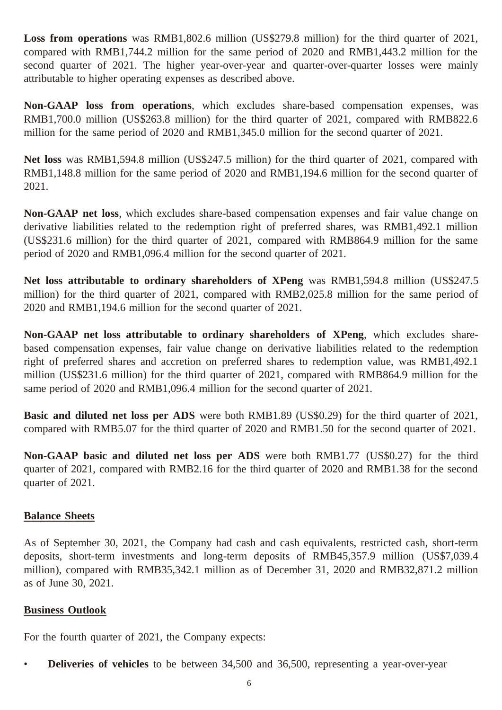**Loss from operations** was RMB1,802.6 million (US\$279.8 million) for the third quarter of 2021, compared with RMB1,744.2 million for the same period of 2020 and RMB1,443.2 million for the second quarter of 2021. The higher year-over-year and quarter-over-quarter losses were mainly attributable to higher operating expenses as described above.

**Non-GAAP loss from operations**, which excludes share-based compensation expenses, was RMB1,700.0 million (US\$263.8 million) for the third quarter of 2021, compared with RMB822.6 million for the same period of 2020 and RMB1,345.0 million for the second quarter of 2021.

**Net loss** was RMB1,594.8 million (US\$247.5 million) for the third quarter of 2021, compared with RMB1,148.8 million for the same period of 2020 and RMB1,194.6 million for the second quarter of 2021.

**Non-GAAP net loss**, which excludes share-based compensation expenses and fair value change on derivative liabilities related to the redemption right of preferred shares, was RMB1,492.1 million (US\$231.6 million) for the third quarter of 2021, compared with RMB864.9 million for the same period of 2020 and RMB1,096.4 million for the second quarter of 2021.

**Net loss attributable to ordinary shareholders of XPeng** was RMB1,594.8 million (US\$247.5 million) for the third quarter of 2021, compared with RMB2,025.8 million for the same period of 2020 and RMB1,194.6 million for the second quarter of 2021.

**Non-GAAP net loss attributable to ordinary shareholders of XPeng**, which excludes sharebased compensation expenses, fair value change on derivative liabilities related to the redemption right of preferred shares and accretion on preferred shares to redemption value, was RMB1,492.1 million (US\$231.6 million) for the third quarter of 2021, compared with RMB864.9 million for the same period of 2020 and RMB1,096.4 million for the second quarter of 2021.

**Basic and diluted net loss per ADS** were both RMB1.89 (US\$0.29) for the third quarter of 2021, compared with RMB5.07 for the third quarter of 2020 and RMB1.50 for the second quarter of 2021.

**Non-GAAP basic and diluted net loss per ADS** were both RMB1.77 (US\$0.27) for the third quarter of 2021, compared with RMB2.16 for the third quarter of 2020 and RMB1.38 for the second quarter of 2021.

## **Balance Sheets**

As of September 30, 2021, the Company had cash and cash equivalents, restricted cash, short-term deposits, short-term investments and long-term deposits of RMB45,357.9 million (US\$7,039.4 million), compared with RMB35,342.1 million as of December 31, 2020 and RMB32,871.2 million as of June 30, 2021.

## **Business Outlook**

For the fourth quarter of 2021, the Company expects:

• **Deliveries of vehicles** to be between 34,500 and 36,500, representing a year-over-year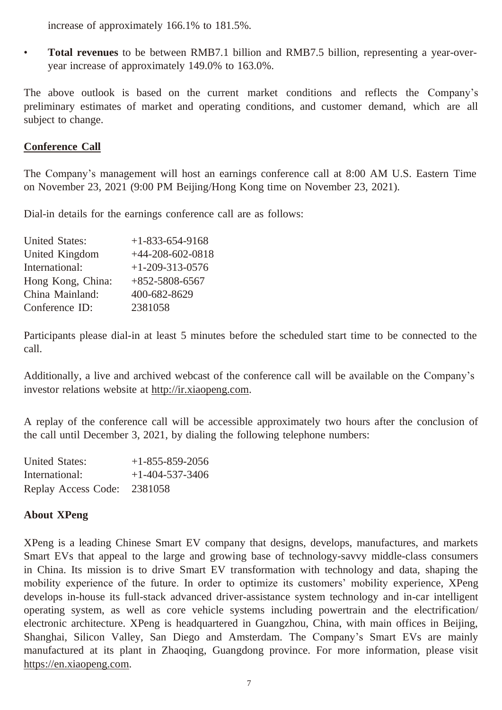increase of approximately 166.1% to 181.5%.

• **Total revenues** to be between RMB7.1 billion and RMB7.5 billion, representing a year-overyear increase of approximately 149.0% to 163.0%.

The above outlook is based on the current market conditions and reflects the Company's preliminary estimates of market and operating conditions, and customer demand, which are all subject to change.

### **Conference Call**

The Company's management will host an earnings conference call at 8:00 AM U.S. Eastern Time on November 23, 2021 (9:00 PM Beijing/Hong Kong time on November 23, 2021).

Dial-in details for the earnings conference call are as follows:

| <b>United States:</b> | $+1-833-654-9168$    |
|-----------------------|----------------------|
| United Kingdom        | $+44-208-602-0818$   |
| International:        | $+1-209-313-0576$    |
| Hong Kong, China:     | $+852 - 5808 - 6567$ |
| China Mainland:       | 400-682-8629         |
| Conference ID:        | 2381058              |

Participants please dial-in at least 5 minutes before the scheduled start time to be connected to the call.

Additionally, a live and archived webcast of the conference call will be available on the Company's investor relations website at [http://ir.xiaopeng.com.](http://ir.xiaopeng.com/)

A replay of the conference call will be accessible approximately two hours after the conclusion of the call until December 3, 2021, by dialing the following telephone numbers:

| <b>United States:</b>       | $+1-855-859-2056$       |
|-----------------------------|-------------------------|
| International:              | $+1 - 404 - 537 - 3406$ |
| Replay Access Code: 2381058 |                         |

## **About XPeng**

XPeng is a leading Chinese Smart EV company that designs, develops, manufactures, and markets Smart EVs that appeal to the large and growing base of technology-savvy middle-class consumers in China. Its mission is to drive Smart EV transformation with technology and data, shaping the mobility experience of the future. In order to optimize its customers' mobility experience, XPeng develops in-house its full-stack advanced driver-assistance system technology and in-car intelligent operating system, as well as core vehicle systems including powertrain and the electrification/ electronic architecture. XPeng is headquartered in Guangzhou, China, with main offices in Beijing, Shanghai, Silicon Valley, San Diego and Amsterdam. The Company's Smart EVs are mainly manufactured at its plant in Zhaoqing, Guangdong province. For more information, please visit https://en.xiaopeng.com.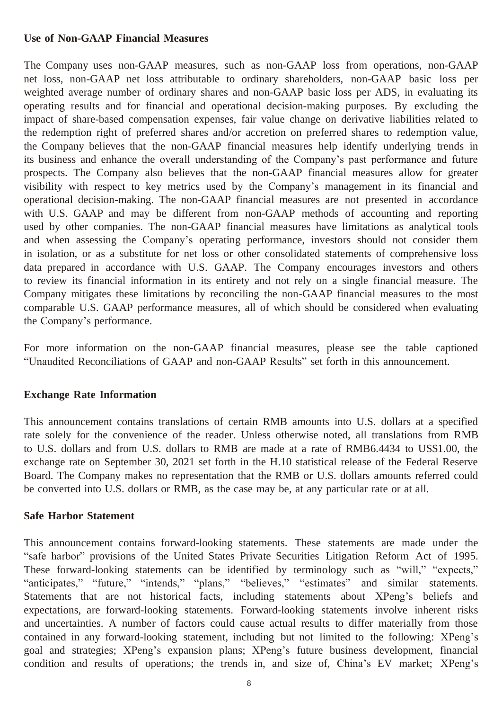#### **Use of Non-GAAP Financial Measures**

The Company uses non-GAAP measures, such as non-GAAP loss from operations, non-GAAP net loss, non-GAAP net loss attributable to ordinary shareholders, non-GAAP basic loss per weighted average number of ordinary shares and non-GAAP basic loss per ADS, in evaluating its operating results and for financial and operational decision-making purposes. By excluding the impact of share-based compensation expenses, fair value change on derivative liabilities related to the redemption right of preferred shares and/or accretion on preferred shares to redemption value, the Company believes that the non-GAAP financial measures help identify underlying trends in its business and enhance the overall understanding of the Company's past performance and future prospects. The Company also believes that the non-GAAP financial measures allow for greater visibility with respect to key metrics used by the Company's management in its financial and operational decision-making. The non-GAAP financial measures are not presented in accordance with U.S. GAAP and may be different from non-GAAP methods of accounting and reporting used by other companies. The non-GAAP financial measures have limitations as analytical tools and when assessing the Company's operating performance, investors should not consider them in isolation, or as a substitute for net loss or other consolidated statements of comprehensive loss data prepared in accordance with U.S. GAAP. The Company encourages investors and others to review its financial information in its entirety and not rely on a single financial measure. The Company mitigates these limitations by reconciling the non-GAAP financial measures to the most comparable U.S. GAAP performance measures, all of which should be considered when evaluating the Company's performance.

For more information on the non-GAAP financial measures, please see the table captioned "Unaudited Reconciliations of GAAP and non-GAAP Results" set forth in this announcement.

#### **Exchange Rate Information**

This announcement contains translations of certain RMB amounts into U.S. dollars at a specified rate solely for the convenience of the reader. Unless otherwise noted, all translations from RMB to U.S. dollars and from U.S. dollars to RMB are made at a rate of RMB6.4434 to US\$1.00, the exchange rate on September 30, 2021 set forth in the H.10 statistical release of the Federal Reserve Board. The Company makes no representation that the RMB or U.S. dollars amounts referred could be converted into U.S. dollars or RMB, as the case may be, at any particular rate or at all.

#### **Safe Harbor Statement**

This announcement contains forward-looking statements. These statements are made under the "safe harbor" provisions of the United States Private Securities Litigation Reform Act of 1995. These forward-looking statements can be identified by terminology such as "will," "expects," "anticipates," "future," "intends," "plans," "believes," "estimates" and similar statements. Statements that are not historical facts, including statements about XPeng's beliefs and expectations, are forward-looking statements. Forward-looking statements involve inherent risks and uncertainties. A number of factors could cause actual results to differ materially from those contained in any forward-looking statement, including but not limited to the following: XPeng's goal and strategies; XPeng's expansion plans; XPeng's future business development, financial condition and results of operations; the trends in, and size of, China's EV market; XPeng's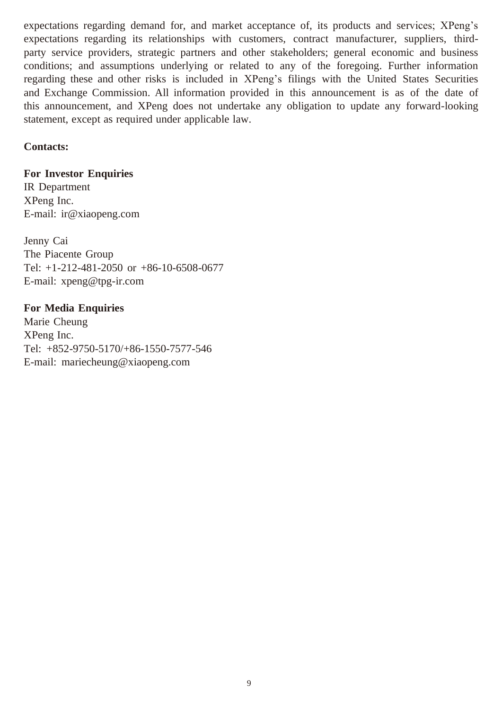expectations regarding demand for, and market acceptance of, its products and services; XPeng's expectations regarding its relationships with customers, contract manufacturer, suppliers, thirdparty service providers, strategic partners and other stakeholders; general economic and business conditions; and assumptions underlying or related to any of the foregoing. Further information regarding these and other risks is included in XPeng's filings with the United States Securities and Exchange Commission. All information provided in this announcement is as of the date of this announcement, and XPeng does not undertake any obligation to update any forward-looking statement, except as required under applicable law.

### **Contacts:**

**For Investor Enquiries** IR Department XPeng Inc. E-mail: [ir@xiaopeng.com](mailto:ir@xiaopeng.com)

Jenny Cai The Piacente Group Tel: +1-212-481-2050 or +86-10-6508-0677 E-mail: [xpeng@tpg-ir.com](mailto:xpeng@tpg-ir.com)

#### **For Media Enquiries**

Marie Cheung XPeng Inc. Tel: +852-9750-5170/+86-1550-7577-546 E-mail: [mariecheung@xiaopeng.com](mailto:mariecheung@xiaopeng.com)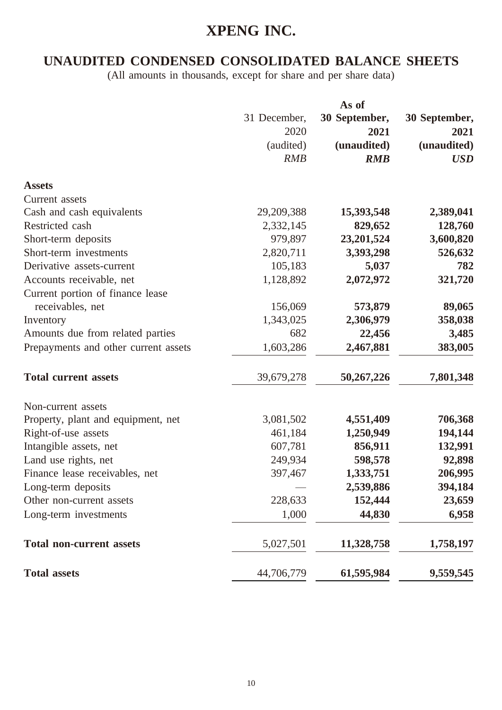# **UNAUDITED CONDENSED CONSOLIDATED BALANCE SHEETS**

|                                      | 31 December, | As of<br>30 September, |             |  |
|--------------------------------------|--------------|------------------------|-------------|--|
|                                      | 2020         | 2021                   | 2021        |  |
|                                      | (audited)    | (unaudited)            | (unaudited) |  |
|                                      | <b>RMB</b>   | <b>RMB</b>             | <b>USD</b>  |  |
| <b>Assets</b>                        |              |                        |             |  |
| Current assets                       |              |                        |             |  |
| Cash and cash equivalents            | 29,209,388   | 15,393,548             | 2,389,041   |  |
| Restricted cash                      | 2,332,145    | 829,652                | 128,760     |  |
| Short-term deposits                  | 979,897      | 23, 201, 524           | 3,600,820   |  |
| Short-term investments               | 2,820,711    | 3,393,298              | 526,632     |  |
| Derivative assets-current            | 105,183      | 5,037                  | 782         |  |
| Accounts receivable, net             | 1,128,892    | 2,072,972              | 321,720     |  |
| Current portion of finance lease     |              |                        |             |  |
| receivables, net                     | 156,069      | 573,879                | 89,065      |  |
| Inventory                            | 1,343,025    | 2,306,979              | 358,038     |  |
| Amounts due from related parties     | 682          | 22,456                 | 3,485       |  |
| Prepayments and other current assets | 1,603,286    | 2,467,881              | 383,005     |  |
| <b>Total current assets</b>          | 39,679,278   | 50,267,226             | 7,801,348   |  |
| Non-current assets                   |              |                        |             |  |
| Property, plant and equipment, net   | 3,081,502    | 4,551,409              | 706,368     |  |
| Right-of-use assets                  | 461,184      | 1,250,949              | 194,144     |  |
| Intangible assets, net               | 607,781      | 856,911                | 132,991     |  |
| Land use rights, net                 | 249,934      | 598,578                | 92,898      |  |
| Finance lease receivables, net       | 397,467      | 1,333,751              | 206,995     |  |
| Long-term deposits                   |              | 2,539,886              | 394,184     |  |
| Other non-current assets             | 228,633      | 152,444                | 23,659      |  |
| Long-term investments                | 1,000        | 44,830                 | 6,958       |  |
| <b>Total non-current assets</b>      | 5,027,501    | 11,328,758             | 1,758,197   |  |
| <b>Total assets</b>                  | 44,706,779   | 61,595,984             | 9,559,545   |  |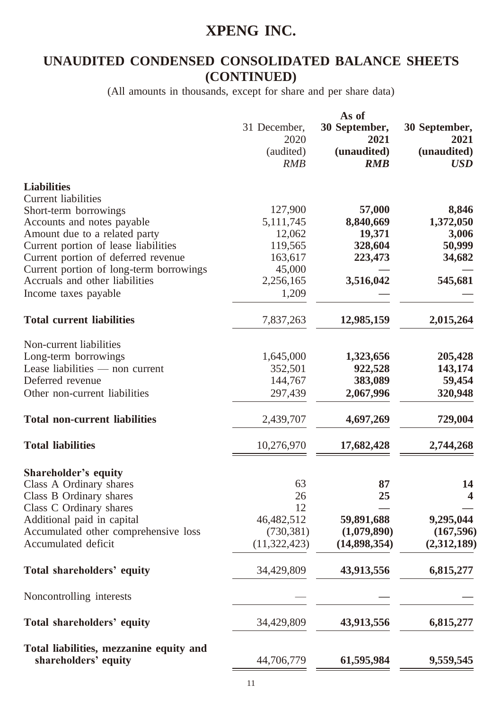# **UNAUDITED CONDENSED CONSOLIDATED BALANCE SHEETS (CONTINUED)**

|                                                                 | 31 December,   | 30 September, | 30 September, |
|-----------------------------------------------------------------|----------------|---------------|---------------|
|                                                                 | 2020           | 2021          | 2021          |
|                                                                 | (audited)      | (unaudited)   | (unaudited)   |
|                                                                 | RMB            | <b>RMB</b>    | <b>USD</b>    |
| <b>Liabilities</b>                                              |                |               |               |
| <b>Current liabilities</b>                                      |                |               |               |
| Short-term borrowings                                           | 127,900        | 57,000        | 8,846         |
| Accounts and notes payable                                      | 5,111,745      | 8,840,669     | 1,372,050     |
| Amount due to a related party                                   | 12,062         | 19,371        | 3,006         |
| Current portion of lease liabilities                            | 119,565        | 328,604       | 50,999        |
| Current portion of deferred revenue                             | 163,617        | 223,473       | 34,682        |
| Current portion of long-term borrowings                         | 45,000         |               |               |
| Accruals and other liabilities                                  | 2,256,165      | 3,516,042     | 545,681       |
| Income taxes payable                                            | 1,209          |               |               |
| <b>Total current liabilities</b>                                | 7,837,263      | 12,985,159    | 2,015,264     |
|                                                                 |                |               |               |
| Non-current liabilities                                         |                |               |               |
| Long-term borrowings                                            | 1,645,000      | 1,323,656     | 205,428       |
| Lease liabilities — non current                                 | 352,501        | 922,528       | 143,174       |
| Deferred revenue                                                | 144,767        | 383,089       | 59,454        |
| Other non-current liabilities                                   | 297,439        | 2,067,996     | 320,948       |
| <b>Total non-current liabilities</b>                            | 2,439,707      | 4,697,269     | 729,004       |
| <b>Total liabilities</b>                                        | 10,276,970     | 17,682,428    | 2,744,268     |
| <b>Shareholder's equity</b>                                     |                |               |               |
| Class A Ordinary shares                                         | 63             | 87            | 14            |
| Class B Ordinary shares                                         | 26             | 25            | 4             |
| Class C Ordinary shares                                         | 12             |               |               |
| Additional paid in capital                                      | 46,482,512     | 59,891,688    | 9,295,044     |
| Accumulated other comprehensive loss                            | (730, 381)     | (1,079,890)   | (167, 596)    |
| Accumulated deficit                                             | (11, 322, 423) | (14,898,354)  | (2,312,189)   |
|                                                                 |                |               |               |
| Total shareholders' equity                                      | 34,429,809     | 43,913,556    | 6,815,277     |
| Noncontrolling interests                                        |                |               |               |
| Total shareholders' equity                                      | 34,429,809     | 43,913,556    | 6,815,277     |
|                                                                 |                |               |               |
| Total liabilities, mezzanine equity and<br>shareholders' equity | 44,706,779     | 61,595,984    | 9,559,545     |
|                                                                 |                |               |               |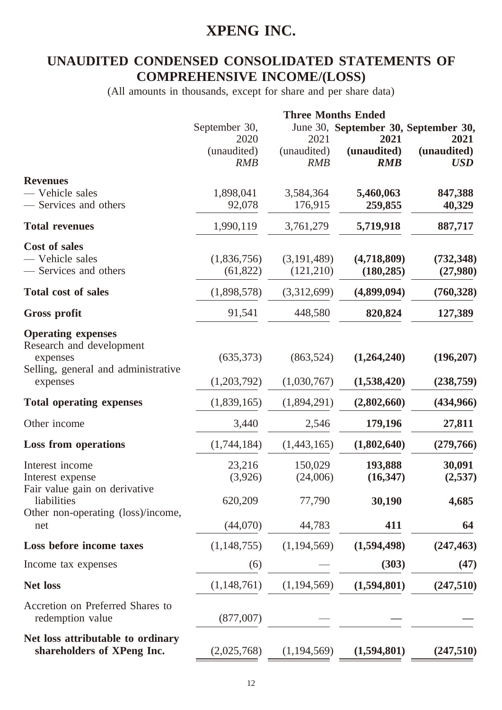# **UNAUDITED CONDENSED CONSOLIDATED STATEMENTS OF COMPREHENSIVE INCOME/(LOSS)**

|                                     | <b>Three Months Ended</b> |             |                                      |             |
|-------------------------------------|---------------------------|-------------|--------------------------------------|-------------|
|                                     | September 30,             |             | June 30, September 30, September 30, |             |
|                                     | 2020                      | 2021        | 2021                                 | 2021        |
|                                     | (unaudited)               | (unaudited) | (unaudited)                          | (unaudited) |
|                                     | RMB                       | <b>RMB</b>  | <b>RMB</b>                           | <b>USD</b>  |
| <b>Revenues</b>                     |                           |             |                                      |             |
| - Vehicle sales                     | 1,898,041                 | 3,584,364   | 5,460,063                            | 847,388     |
| - Services and others               | 92,078                    | 176,915     | 259,855                              | 40,329      |
| <b>Total revenues</b>               | 1,990,119                 | 3,761,279   | 5,719,918                            | 887,717     |
| <b>Cost of sales</b>                |                           |             |                                      |             |
| - Vehicle sales                     | (1,836,756)               | (3,191,489) | (4,718,809)                          | (732, 348)  |
| - Services and others               | (61, 822)                 | (121,210)   | (180, 285)                           | (27,980)    |
| <b>Total cost of sales</b>          | (1,898,578)               | (3,312,699) | (4,899,094)                          | (760, 328)  |
| <b>Gross profit</b>                 | 91,541                    | 448,580     | 820,824                              | 127,389     |
| <b>Operating expenses</b>           |                           |             |                                      |             |
| Research and development            |                           |             |                                      |             |
| expenses                            | (635, 373)                | (863,524)   | (1,264,240)                          | (196,207)   |
| Selling, general and administrative |                           |             |                                      |             |
| expenses                            | (1,203,792)               | (1,030,767) | (1,538,420)                          | (238,759)   |
| <b>Total operating expenses</b>     | (1,839,165)               | (1,894,291) | (2,802,660)                          | (434,966)   |
| Other income                        | 3,440                     | 2,546       | 179,196                              | 27,811      |
| <b>Loss from operations</b>         | (1,744,184)               | (1,443,165) | (1,802,640)                          | (279,766)   |
| Interest income                     | 23,216                    | 150,029     | 193,888                              | 30,091      |
| Interest expense                    | (3,926)                   | (24,006)    | (16, 347)                            | (2,537)     |
| Fair value gain on derivative       |                           |             |                                      |             |
| liabilities                         | 620,209                   | 77,790      | 30,190                               | 4,685       |
| Other non-operating (loss)/income,  |                           |             |                                      |             |
| net                                 | (44,070)                  | 44,783      | 411                                  | 64          |
| Loss before income taxes            | (1,148,755)               | (1,194,569) | (1,594,498)                          | (247, 463)  |
| Income tax expenses                 | (6)                       |             | (303)                                | (47)        |
| <b>Net loss</b>                     | (1,148,761)               | (1,194,569) | (1,594,801)                          | (247,510)   |
| Accretion on Preferred Shares to    |                           |             |                                      |             |
| redemption value                    | (877,007)                 |             |                                      |             |
| Net loss attributable to ordinary   |                           |             |                                      |             |
| shareholders of XPeng Inc.          | (2,025,768)               | (1,194,569) | (1,594,801)                          | (247,510)   |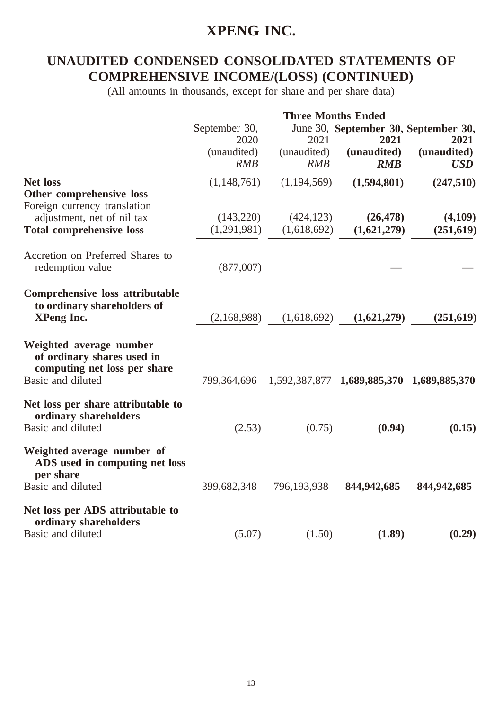# **UNAUDITED CONDENSED CONSOLIDATED STATEMENTS OF COMPREHENSIVE INCOME/(LOSS) (CONTINUED)**

|                                                                                                            | <b>Three Months Ended</b>                   |                             |                                                                           |                                   |
|------------------------------------------------------------------------------------------------------------|---------------------------------------------|-----------------------------|---------------------------------------------------------------------------|-----------------------------------|
|                                                                                                            | September 30,<br>2020<br>(unaudited)<br>RMB | 2021<br>(unaudited)<br>RMB  | June 30, September 30, September 30,<br>2021<br>(unaudited)<br><b>RMB</b> | 2021<br>(unaudited)<br><b>USD</b> |
| <b>Net loss</b><br>Other comprehensive loss<br>Foreign currency translation                                | (1,148,761)                                 | (1,194,569)                 | (1,594,801)                                                               | (247,510)                         |
| adjustment, net of nil tax<br><b>Total comprehensive loss</b>                                              | (143,220)<br>(1,291,981)                    | (424, 123)<br>(1,618,692)   | (26, 478)<br>(1,621,279)                                                  | (4,109)<br>(251, 619)             |
| Accretion on Preferred Shares to<br>redemption value                                                       | (877,007)                                   |                             |                                                                           |                                   |
| Comprehensive loss attributable<br>to ordinary shareholders of<br><b>XPeng Inc.</b>                        | (2,168,988)                                 | (1,618,692)                 | (1,621,279)                                                               | (251, 619)                        |
| Weighted average number<br>of ordinary shares used in<br>computing net loss per share<br>Basic and diluted | 799,364,696                                 | 1,592,387,877 1,689,885,370 |                                                                           | 1,689,885,370                     |
| Net loss per share attributable to<br>ordinary shareholders<br>Basic and diluted                           | (2.53)                                      | (0.75)                      | (0.94)                                                                    | (0.15)                            |
| Weighted average number of<br>ADS used in computing net loss<br>per share<br>Basic and diluted             | 399,682,348                                 | 796,193,938                 | 844,942,685                                                               | 844,942,685                       |
| Net loss per ADS attributable to<br>ordinary shareholders<br>Basic and diluted                             | (5.07)                                      | (1.50)                      | (1.89)                                                                    | (0.29)                            |